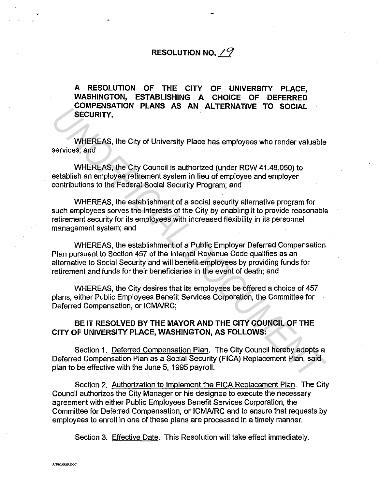## RESOLUTION NO.  $19$

A RESOLUTION OF THE CITY OF UNIVERSITY PLACE, WASHINGTON, ESTABLISHING A CHOICE OF DEFERRED COMPENSATION PLANS AS AN ALTERNATIVE TO SOCIAL SECURITY.

WHEREAS, the City of University Place has employees who render valuable services; and

WHEREAS, the City Council is authorized (under RCW 41.48.050) to establish an employee retirement system in lieu of employee and employer contributions to the Federal Social Security Program; and

WHEREAS, the establishment of a social security alternative program for such employees serves the interests of the City by enabling it to provide reasonable retirement security for its employees with increased flexibility in its personnel management system; and **UNIFICEAS**, the City of University Place has employees who render valuable<br>
SECURITY.<br>
WHEREAS, the City Council is authorized (under RCW 41.48.050) to<br>
WHEREAS, the City Council is authorized (under RCW 41.48.050) to<br>
es

WHEREAS, the establishment of a Public Employer Deferred Compensation Plan pursuant to Section 457 of the Internal Revenue Code qualifies as an alternative to Social Security and will benefit employees by providing funds for retirement and funds for their beneficiaries in the event of death; and

WHEREAS, the City desires that its employees be offered a choice of 457 plans, either Public Employees Benefit Services Corporation, the Committee for Deferred Compensation, or ICMA/RC;

## BE IT RESOLVED BY THE MAYOR AND THE CITY COUNCIL OF THE CITY OF UNIVERSITY PLACE, WASHINGTON, AS FOLLOWS:

Section 1. Deferred Compensation Plan. The City Council hereby adopts a Deferred Compensation Plan as a Social Security (FICA) Replacement Plan, said plan to be effective with the June 5, 1995 payroll.

Section 2. Authorization to Implement the FICA Replacement Plan. The City Council authorizes the City Manager or his designee to execute the necessary agreement with either Public Employees Benefit Services Corporation, the Committee for Deferred Compensation, or ICMA/RC and to ensure that requests by employees to enroll in one of these plans are processed in a timely manner.

Section 3. Effective Date. This Resolution will take effect immediately.